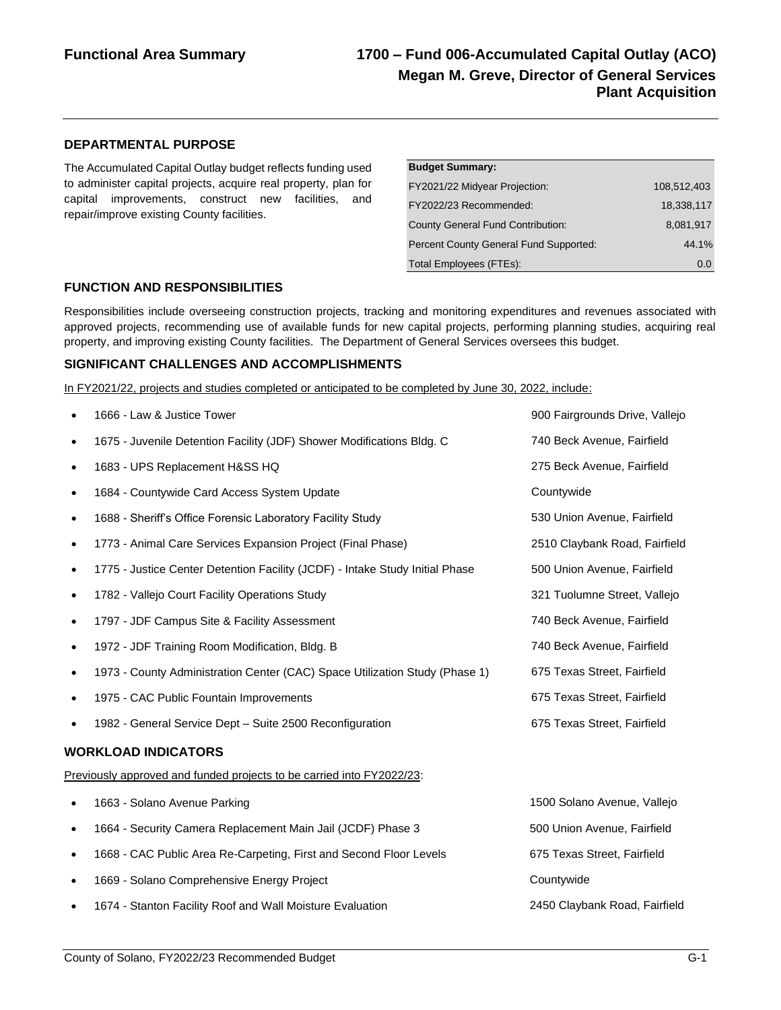## **Functional Area Summary 1700 – Fund 006-Accumulated Capital Outlay (ACO) Megan M. Greve, Director of General Services Plant Acquisition**

#### **DEPARTMENTAL PURPOSE**

The Accumulated Capital Outlay budget reflects funding used to administer capital projects, acquire real property, plan for capital improvements, construct new facilities, and repair/improve existing County facilities.

| <b>Budget Summary:</b>                   |             |
|------------------------------------------|-------------|
| FY2021/22 Midyear Projection:            | 108.512.403 |
| FY2022/23 Recommended:                   | 18.338.117  |
| <b>County General Fund Contribution:</b> | 8,081,917   |
| Percent County General Fund Supported:   | 44.1%       |
| Total Employees (FTEs):                  | 0.0         |

#### **FUNCTION AND RESPONSIBILITIES**

Responsibilities include overseeing construction projects, tracking and monitoring expenditures and revenues associated with approved projects, recommending use of available funds for new capital projects, performing planning studies, acquiring real property, and improving existing County facilities. The Department of General Services oversees this budget.

#### **SIGNIFICANT CHALLENGES AND ACCOMPLISHMENTS**

In FY2021/22, projects and studies completed or anticipated to be completed by June 30, 2022, include:

|           | 1666 - Law & Justice Tower                                                   | 900 Fairgrounds Drive, Vallejo |
|-----------|------------------------------------------------------------------------------|--------------------------------|
| $\bullet$ | 1675 - Juvenile Detention Facility (JDF) Shower Modifications Bldg. C        | 740 Beck Avenue, Fairfield     |
| $\bullet$ | 1683 - UPS Replacement H&SS HQ                                               | 275 Beck Avenue, Fairfield     |
|           | 1684 - Countywide Card Access System Update                                  | Countywide                     |
| $\bullet$ | 1688 - Sheriff's Office Forensic Laboratory Facility Study                   | 530 Union Avenue, Fairfield    |
| $\bullet$ | 1773 - Animal Care Services Expansion Project (Final Phase)                  | 2510 Claybank Road, Fairfield  |
| ٠         | 1775 - Justice Center Detention Facility (JCDF) - Intake Study Initial Phase | 500 Union Avenue, Fairfield    |
| $\bullet$ | 1782 - Vallejo Court Facility Operations Study                               | 321 Tuolumne Street, Vallejo   |
| $\bullet$ | 1797 - JDF Campus Site & Facility Assessment                                 | 740 Beck Avenue, Fairfield     |
| $\bullet$ | 1972 - JDF Training Room Modification, Bldg. B                               | 740 Beck Avenue, Fairfield     |
| ٠         | 1973 - County Administration Center (CAC) Space Utilization Study (Phase 1)  | 675 Texas Street, Fairfield    |
| $\bullet$ | 1975 - CAC Public Fountain Improvements                                      | 675 Texas Street, Fairfield    |
| $\bullet$ | 1982 - General Service Dept - Suite 2500 Reconfiguration                     | 675 Texas Street, Fairfield    |
|           | <b>WORKLOAD INDICATORS</b>                                                   |                                |
|           | Previously approved and funded projects to be carried into FY2022/23:        |                                |
| $\bullet$ | 1663 - Solano Avenue Parking                                                 | 1500 Solano Avenue, Vallejo    |
| ٠         | 1664 - Security Camera Replacement Main Jail (JCDF) Phase 3                  | 500 Union Avenue, Fairfield    |
| $\bullet$ | 1668 - CAC Public Area Re-Carpeting, First and Second Floor Levels           | 675 Texas Street, Fairfield    |
|           | 1669 - Solano Comprehensive Energy Project                                   | Countywide                     |
|           | 1674 - Stanton Facility Roof and Wall Moisture Evaluation                    | 2450 Claybank Road, Fairfield  |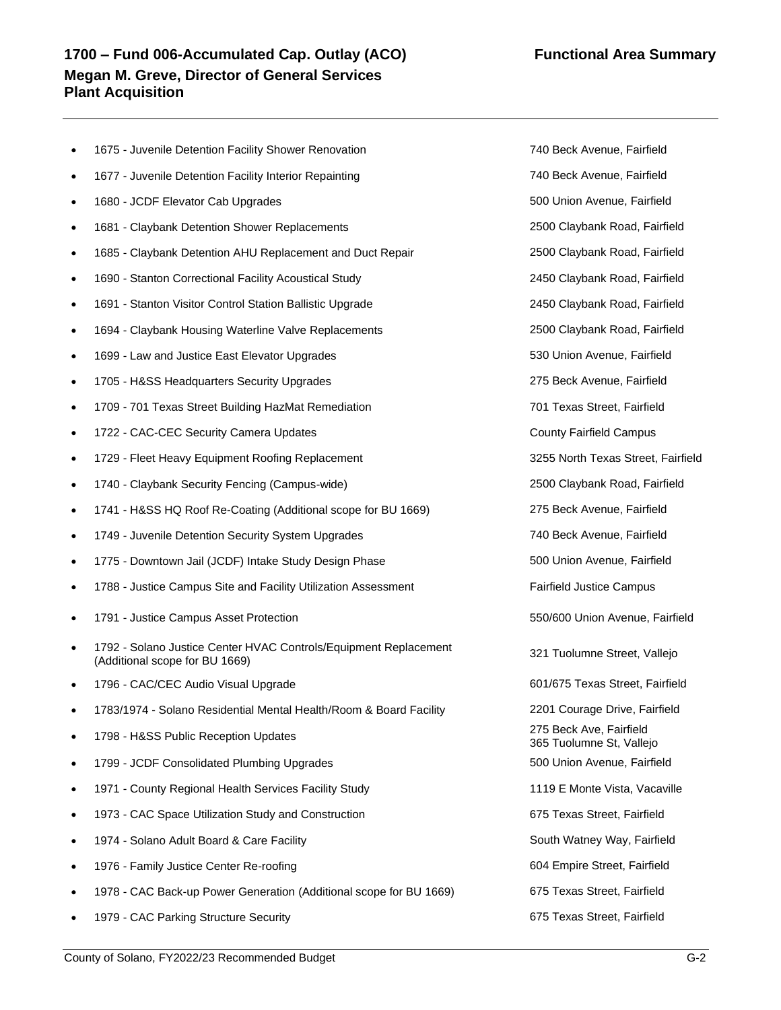## **1700 – Fund 006-Accumulated Cap. Outlay (ACO) Functional Area Summary Megan M. Greve, Director of General Services Plant Acquisition**

- 1675 Juvenile Detention Facility Shower Renovation 740 Beck Avenue, Fairfield
- 1677 Juvenile Detention Facility Interior Repainting 740 Beck Avenue, Fairfield
- 1680 JCDF Elevator Cab Upgrades 500 Union Avenue, Fairfield
- 1681 Claybank Detention Shower Replacements 2500 Claybank Road, Fairfield
- 1685 Claybank Detention AHU Replacement and Duct Repair 2500 Claybank Road, Fairfield
- 1690 Stanton Correctional Facility Acoustical Study 2450 Claybank Road, Fairfield
- 1691 Stanton Visitor Control Station Ballistic Upgrade 2450 Claybank Road, Fairfield
- 1694 Claybank Housing Waterline Valve Replacements 2500 Claybank Road, Fairfield
- 1699 Law and Justice East Elevator Upgrades 530 Union Avenue, Fairfield
- 1705 H&SS Headquarters Security Upgrades 275 Beck Avenue, Fairfield
- 1709 701 Texas Street Building HazMat Remediation 701 Texas Street, Fairfield
- 1722 CAC-CEC Security Camera Updates **County Fairfield Campus** County Fairfield Campus
- 1729 Fleet Heavy Equipment Roofing Replacement 3255 North Texas Street, Fairfield
- 1740 Claybank Security Fencing (Campus-wide) 2500 Claybank Road, Fairfield
- 1741 H&SS HQ Roof Re-Coating (Additional scope for BU 1669) 275 Beck Avenue, Fairfield
- 1749 Juvenile Detention Security System Upgrades 740 Beck Avenue, Fairfield
- 1775 Downtown Jail (JCDF) Intake Study Design Phase 500 Union Avenue, Fairfield
- 1788 Justice Campus Site and Facility Utilization Assessment Fairfield Justice Campus
- 1791 Justice Campus Asset Protection 550/600 Union Avenue, Fairfield
- 1792 Solano Justice Center HVAC Controls/Equipment Replacement Tries - Solario Justice Center Hivido Continuis/Equipment Replacement (321 Tuolumne Street, Vallejo (Additional scope for BU 1669)
- 1796 CAC/CEC Audio Visual Upgrade 601/675 Texas Street, Fairfield
- 1783/1974 Solano Residential Mental Health/Room & Board Facility 2201 Courage Drive, Fairfield
- 1798 H&SS Public Reception Updates 275 Beck Ave, Fairfield
- 1799 JCDF Consolidated Plumbing Upgrades 500 Union Avenue, Fairfield
- 1971 County Regional Health Services Facility Study 1119 E Monte Vista, Vacaville
- 1973 CAC Space Utilization Study and Construction 675 Texas Street, Fairfield
- 1974 Solano Adult Board & Care Facility South Watney Way, Fairfield
- 1976 Family Justice Center Re-roofing **604 Empire Street, Fairfield** 604 Empire Street, Fairfield
- 1978 CAC Back-up Power Generation (Additional scope for BU 1669) 675 Texas Street, Fairfield
- 1979 CAC Parking Structure Security 675 Texas Street, Fairfield

365 Tuolumne St, Vallejo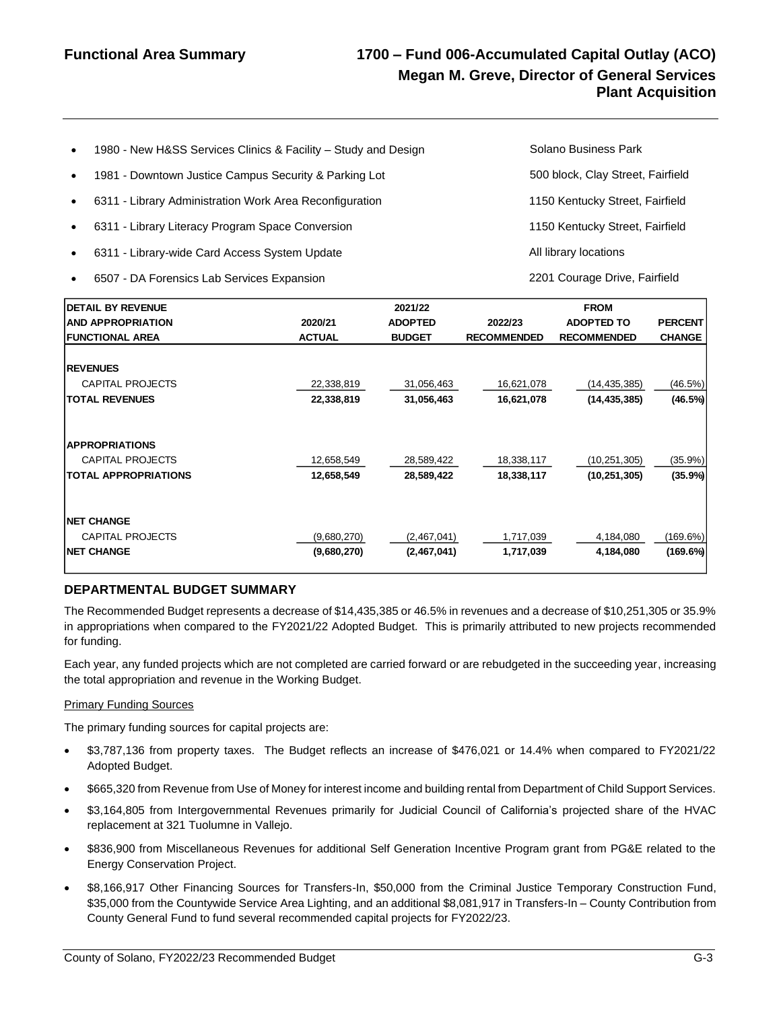## **Functional Area Summary 1700 – Fund 006-Accumulated Capital Outlay (ACO) Megan M. Greve, Director of General Services Plant Acquisition**

| $\bullet$ | 1980 - New H&SS Services Clinics & Facility - Study and Design | Solano Business Park              |
|-----------|----------------------------------------------------------------|-----------------------------------|
| $\bullet$ | 1981 - Downtown Justice Campus Security & Parking Lot          | 500 block, Clay Street, Fairfield |
| $\bullet$ | 6311 - Library Administration Work Area Reconfiguration        | 1150 Kentucky Street, Fairfield   |
| $\bullet$ | 6311 - Library Literacy Program Space Conversion               | 1150 Kentucky Street, Fairfield   |
| $\bullet$ | 6311 - Library-wide Card Access System Update                  | All library locations             |
|           |                                                                |                                   |

• 6507 - DA Forensics Lab Services Expansion 2201 Courage Drive, Fairfield

| <b>DETAIL BY REVENUE</b>                                                                                                                                                                                                                                                                                                                             |               | 2021/22        |                    | <b>FROM</b>                      |                |
|------------------------------------------------------------------------------------------------------------------------------------------------------------------------------------------------------------------------------------------------------------------------------------------------------------------------------------------------------|---------------|----------------|--------------------|----------------------------------|----------------|
| <b>AND APPROPRIATION</b>                                                                                                                                                                                                                                                                                                                             | 2020/21       | <b>ADOPTED</b> | 2022/23            | <b>ADOPTED TO</b>                | <b>PERCENT</b> |
| <b>FUNCTIONAL AREA</b>                                                                                                                                                                                                                                                                                                                               | <b>ACTUAL</b> | <b>BUDGET</b>  | <b>RECOMMENDED</b> | <b>RECOMMENDED</b>               | <b>CHANGE</b>  |
|                                                                                                                                                                                                                                                                                                                                                      |               |                |                    |                                  |                |
| <b>REVENUES</b><br><b>CAPITAL PROJECTS</b>                                                                                                                                                                                                                                                                                                           | 22,338,819    | 31,056,463     | 16,621,078         |                                  | (46.5%)        |
| <b>TOTAL REVENUES</b>                                                                                                                                                                                                                                                                                                                                | 22,338,819    | 31,056,463     | 16,621,078         | (14, 435, 385)<br>(14, 435, 385) | (46.5%)        |
|                                                                                                                                                                                                                                                                                                                                                      |               |                |                    |                                  |                |
| <b>APPROPRIATIONS</b>                                                                                                                                                                                                                                                                                                                                |               |                |                    |                                  |                |
| <b>CAPITAL PROJECTS</b>                                                                                                                                                                                                                                                                                                                              | 12,658,549    | 28,589,422     | 18,338,117         | (10, 251, 305)                   | (35.9%)        |
| <b>TOTAL APPROPRIATIONS</b>                                                                                                                                                                                                                                                                                                                          | 12,658,549    | 28,589,422     | 18,338,117         | (10, 251, 305)                   | (35.9%)        |
|                                                                                                                                                                                                                                                                                                                                                      |               |                |                    |                                  |                |
| <b>NET CHANGE</b>                                                                                                                                                                                                                                                                                                                                    |               |                |                    |                                  |                |
| <b>CAPITAL PROJECTS</b>                                                                                                                                                                                                                                                                                                                              | (9,680,270)   | (2,467,041)    | 1,717,039          | 4,184,080                        | (169.6%)       |
| <b>NET CHANGE</b>                                                                                                                                                                                                                                                                                                                                    | (9,680,270)   | (2,467,041)    | 1,717,039          | 4.184.080                        | (169.6%)       |
| Each year, any funded projects which are not completed are carried forward or are rebudgeted in the succeeding year, increasin<br>the total appropriation and revenue in the Working Budget.<br><b>Primary Funding Sources</b>                                                                                                                       |               |                |                    |                                  |                |
| The primary funding sources for capital projects are:                                                                                                                                                                                                                                                                                                |               |                |                    |                                  |                |
| \$3,787,136 from property taxes. The Budget reflects an increase of \$476,021 or 14.4% when compared to FY2021/2<br>$\bullet$<br>Adopted Budget.                                                                                                                                                                                                     |               |                |                    |                                  |                |
| \$665,320 from Revenue from Use of Money for interest income and building rental from Department of Child Support Services<br>$\bullet$                                                                                                                                                                                                              |               |                |                    |                                  |                |
| \$3,164,805 from Intergovernmental Revenues primarily for Judicial Council of California's projected share of the HVA<br>$\bullet$<br>replacement at 321 Tuolumne in Vallejo.                                                                                                                                                                        |               |                |                    |                                  |                |
| \$836,900 from Miscellaneous Revenues for additional Self Generation Incentive Program grant from PG&E related to th<br>$\bullet$<br><b>Energy Conservation Project.</b>                                                                                                                                                                             |               |                |                    |                                  |                |
| \$8,166,917 Other Financing Sources for Transfers-In, \$50,000 from the Criminal Justice Temporary Construction Funo<br>$\bullet$<br>\$35,000 from the Countywide Service Area Lighting, and an additional \$8,081,917 in Transfers-In - County Contribution fror<br>County General Fund to fund several recommended capital projects for FY2022/23. |               |                |                    |                                  |                |

#### **DEPARTMENTAL BUDGET SUMMARY**

#### Primary Funding Sources

- \$3,787,136 from property taxes. The Budget reflects an increase of \$476,021 or 14.4% when compared to FY2021/22 Adopted Budget.
- \$665,320 from Revenue from Use of Money for interest income and building rental from Department of Child Support Services.
- \$3,164,805 from Intergovernmental Revenues primarily for Judicial Council of California's projected share of the HVAC replacement at 321 Tuolumne in Vallejo.
- \$836,900 from Miscellaneous Revenues for additional Self Generation Incentive Program grant from PG&E related to the Energy Conservation Project.
- \$8,166,917 Other Financing Sources for Transfers-In, \$50,000 from the Criminal Justice Temporary Construction Fund, \$35,000 from the Countywide Service Area Lighting, and an additional \$8,081,917 in Transfers-In – County Contribution from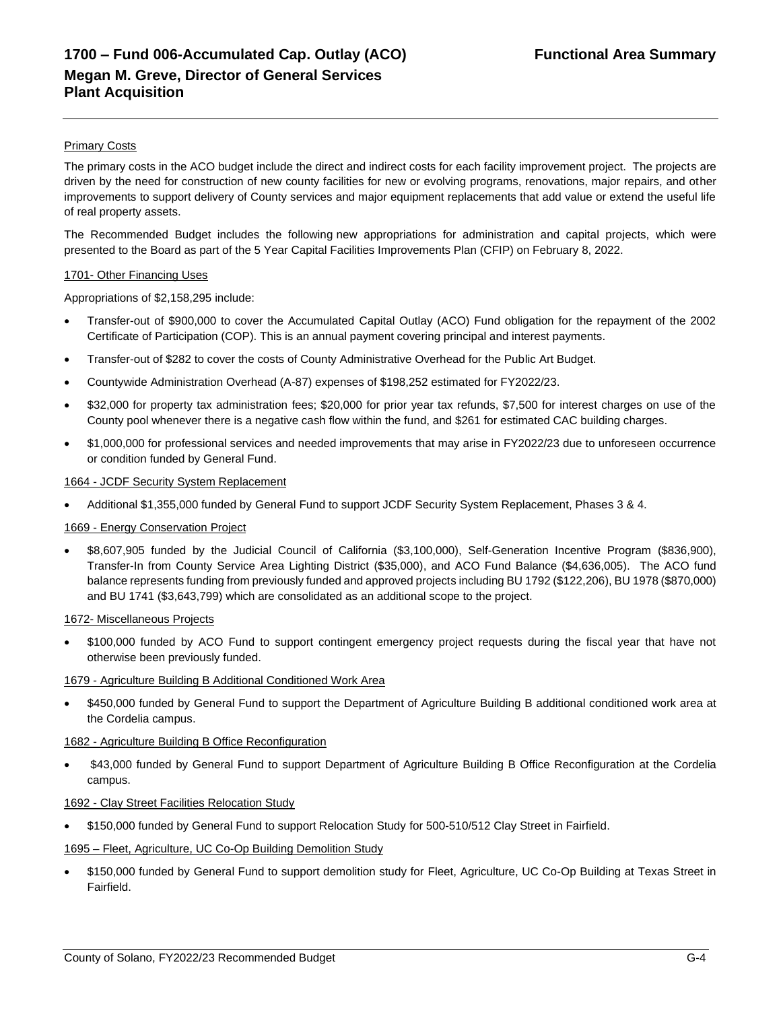#### **Primary Costs**

The primary costs in the ACO budget include the direct and indirect costs for each facility improvement project. The projects are driven by the need for construction of new county facilities for new or evolving programs, renovations, major repairs, and other improvements to support delivery of County services and major equipment replacements that add value or extend the useful life of real property assets.

The Recommended Budget includes the following new appropriations for administration and capital projects, which were presented to the Board as part of the 5 Year Capital Facilities Improvements Plan (CFIP) on February 8, 2022.

#### 1701- Other Financing Uses

Appropriations of \$2,158,295 include:

- Transfer-out of \$900,000 to cover the Accumulated Capital Outlay (ACO) Fund obligation for the repayment of the 2002 Certificate of Participation (COP). This is an annual payment covering principal and interest payments.
- Transfer-out of \$282 to cover the costs of County Administrative Overhead for the Public Art Budget.
- Countywide Administration Overhead (A-87) expenses of \$198,252 estimated for FY2022/23.
- \$32,000 for property tax administration fees; \$20,000 for prior year tax refunds, \$7,500 for interest charges on use of the County pool whenever there is a negative cash flow within the fund, and \$261 for estimated CAC building charges.
- \$1,000,000 for professional services and needed improvements that may arise in FY2022/23 due to unforeseen occurrence or condition funded by General Fund.

#### 1664 - JCDF Security System Replacement

• Additional \$1,355,000 funded by General Fund to support JCDF Security System Replacement, Phases 3 & 4.

#### 1669 - Energy Conservation Project

• \$8,607,905 funded by the Judicial Council of California (\$3,100,000), Self-Generation Incentive Program (\$836,900), Transfer-In from County Service Area Lighting District (\$35,000), and ACO Fund Balance (\$4,636,005). The ACO fund balance represents funding from previously funded and approved projects including BU 1792 (\$122,206), BU 1978 (\$870,000) and BU 1741 (\$3,643,799) which are consolidated as an additional scope to the project.

#### 1672- Miscellaneous Projects

• \$100,000 funded by ACO Fund to support contingent emergency project requests during the fiscal year that have not otherwise been previously funded.

#### 1679 - Agriculture Building B Additional Conditioned Work Area

• \$450,000 funded by General Fund to support the Department of Agriculture Building B additional conditioned work area at the Cordelia campus.

#### 1682 - Agriculture Building B Office Reconfiguration

• \$43,000 funded by General Fund to support Department of Agriculture Building B Office Reconfiguration at the Cordelia campus.

#### 1692 - Clay Street Facilities Relocation Study

• \$150,000 funded by General Fund to support Relocation Study for 500-510/512 Clay Street in Fairfield.

#### 1695 – Fleet, Agriculture, UC Co-Op Building Demolition Study

• \$150,000 funded by General Fund to support demolition study for Fleet, Agriculture, UC Co-Op Building at Texas Street in Fairfield.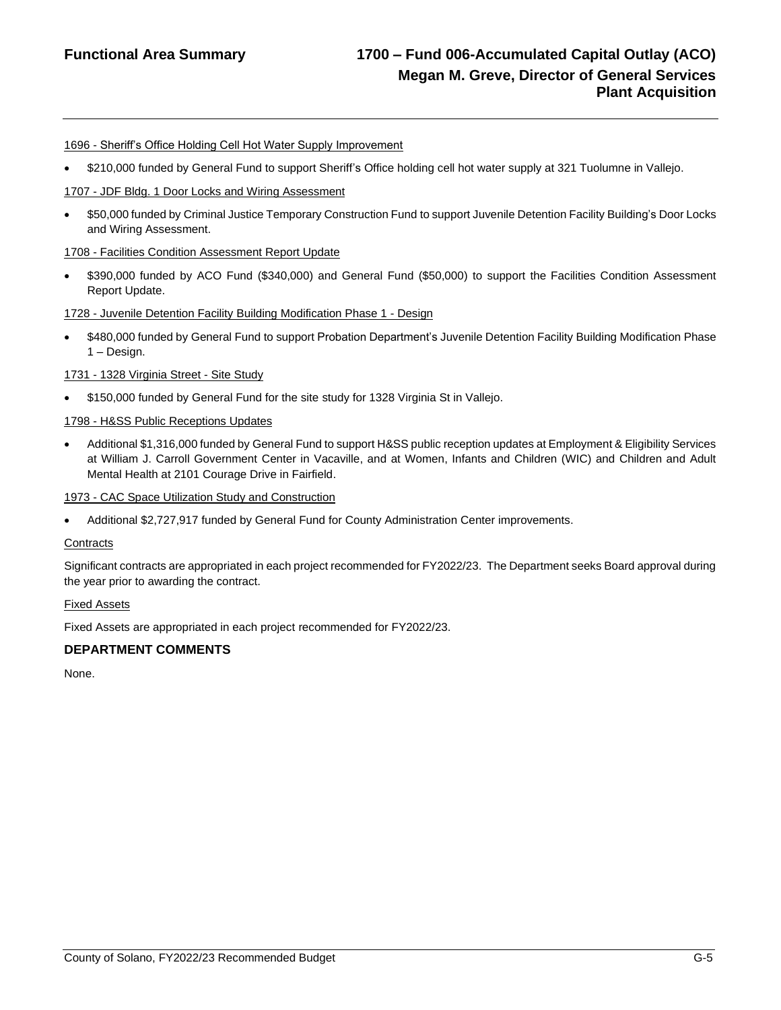## **Functional Area Summary 1700 – Fund 006-Accumulated Capital Outlay (ACO) Megan M. Greve, Director of General Services Plant Acquisition**

#### 1696 - Sheriff's Office Holding Cell Hot Water Supply Improvement

• \$210,000 funded by General Fund to support Sheriff's Office holding cell hot water supply at 321 Tuolumne in Vallejo.

#### 1707 - JDF Bldg. 1 Door Locks and Wiring Assessment

• \$50,000 funded by Criminal Justice Temporary Construction Fund to support Juvenile Detention Facility Building's Door Locks and Wiring Assessment.

#### 1708 - Facilities Condition Assessment Report Update

• \$390,000 funded by ACO Fund (\$340,000) and General Fund (\$50,000) to support the Facilities Condition Assessment Report Update.

#### 1728 - Juvenile Detention Facility Building Modification Phase 1 - Design

• \$480,000 funded by General Fund to support Probation Department's Juvenile Detention Facility Building Modification Phase 1 – Design.

#### 1731 - 1328 Virginia Street - Site Study

• \$150,000 funded by General Fund for the site study for 1328 Virginia St in Vallejo.

#### 1798 - H&SS Public Receptions Updates

• Additional \$1,316,000 funded by General Fund to support H&SS public reception updates at Employment & Eligibility Services at William J. Carroll Government Center in Vacaville, and at Women, Infants and Children (WIC) and Children and Adult Mental Health at 2101 Courage Drive in Fairfield.

#### 1973 - CAC Space Utilization Study and Construction

• Additional \$2,727,917 funded by General Fund for County Administration Center improvements.

#### **Contracts**

Significant contracts are appropriated in each project recommended for FY2022/23. The Department seeks Board approval during the year prior to awarding the contract.

#### Fixed Assets

Fixed Assets are appropriated in each project recommended for FY2022/23.

#### **DEPARTMENT COMMENTS**

None.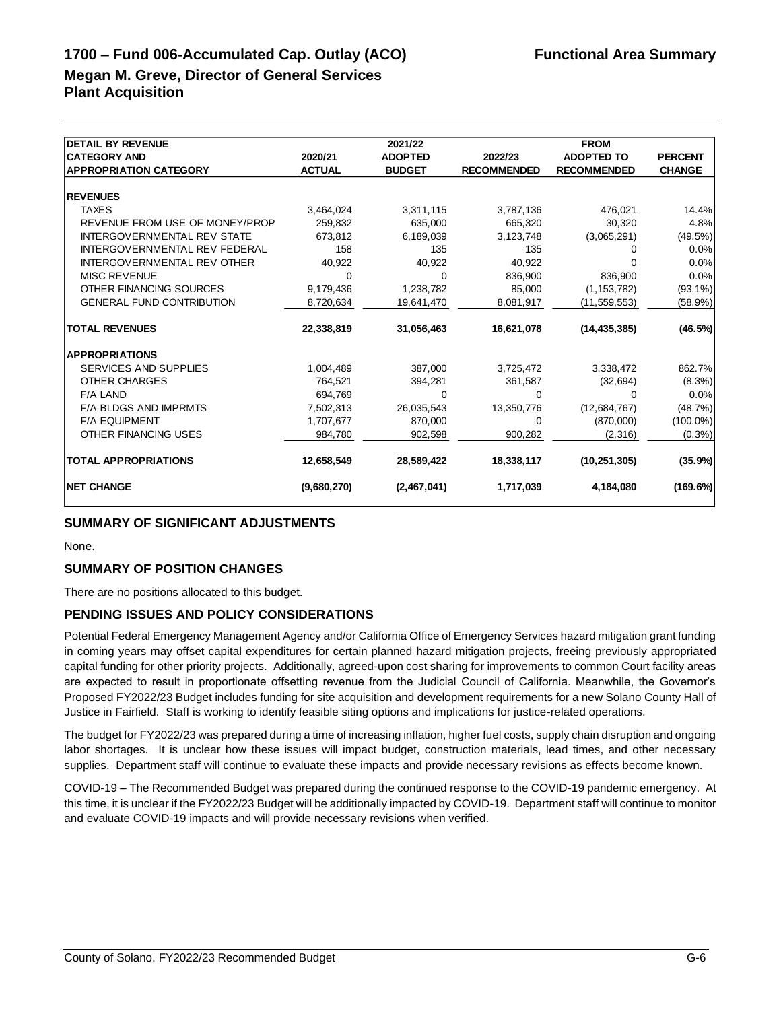# **1700 – Fund 006-Accumulated Cap. Outlay (ACO) Functional Area Summary**

## **Megan M. Greve, Director of General Services Plant Acquisition**

| <b>DETAIL BY REVENUE</b>           |               | 2021/22        |                    | <b>FROM</b>        |                |
|------------------------------------|---------------|----------------|--------------------|--------------------|----------------|
| <b>CATEGORY AND</b>                | 2020/21       | <b>ADOPTED</b> | 2022/23            | <b>ADOPTED TO</b>  | <b>PERCENT</b> |
| <b>APPROPRIATION CATEGORY</b>      | <b>ACTUAL</b> | <b>BUDGET</b>  | <b>RECOMMENDED</b> | <b>RECOMMENDED</b> | <b>CHANGE</b>  |
|                                    |               |                |                    |                    |                |
| <b>REVENUES</b>                    |               |                |                    |                    |                |
| <b>TAXES</b>                       | 3,464,024     | 3,311,115      | 3,787,136          | 476,021            | 14.4%          |
| REVENUE FROM USE OF MONEY/PROP     | 259.832       | 635.000        | 665,320            | 30,320             | 4.8%           |
| <b>INTERGOVERNMENTAL REV STATE</b> | 673.812       | 6,189,039      | 3,123,748          | (3,065,291)        | (49.5%)        |
| INTERGOVERNMENTAL REV FEDERAL      | 158           | 135            | 135                | Ω                  | $0.0\%$        |
| <b>INTERGOVERNMENTAL REV OTHER</b> | 40,922        | 40.922         | 40,922             | O                  | 0.0%           |
| <b>MISC REVENUE</b>                | 0             | $\Omega$       | 836.900            | 836.900            | 0.0%           |
| OTHER FINANCING SOURCES            | 9,179,436     | 1,238,782      | 85,000             | (1, 153, 782)      | $(93.1\%)$     |
| <b>GENERAL FUND CONTRIBUTION</b>   | 8,720,634     | 19,641,470     | 8,081,917          | (11, 559, 553)     | (58.9%)        |
| <b>TOTAL REVENUES</b>              | 22,338,819    | 31,056,463     | 16,621,078         | (14, 435, 385)     | (46.5%)        |
| <b>APPROPRIATIONS</b>              |               |                |                    |                    |                |
| <b>SERVICES AND SUPPLIES</b>       | 1,004,489     | 387,000        | 3,725,472          | 3,338,472          | 862.7%         |
| <b>OTHER CHARGES</b>               | 764,521       | 394,281        | 361,587            | (32, 694)          | $(8.3\%)$      |
| <b>F/A LAND</b>                    | 694.769       | $\Omega$       | $\Omega$           | $\Omega$           | 0.0%           |
| <b>F/A BLDGS AND IMPRMTS</b>       | 7,502,313     | 26,035,543     | 13,350,776         | (12,684,767)       | (48.7%)        |
| <b>F/A EQUIPMENT</b>               | 1,707,677     | 870,000        | 0                  | (870,000)          | $(100.0\%)$    |
| OTHER FINANCING USES               | 984,780       | 902,598        | 900,282            | (2,316)            | $(0.3\%)$      |
| <b>TOTAL APPROPRIATIONS</b>        | 12,658,549    | 28,589,422     | 18,338,117         | (10, 251, 305)     | (35.9%)        |
| <b>NET CHANGE</b>                  | (9,680,270)   | (2,467,041)    | 1,717,039          | 4,184,080          | (169.6%)       |

## **SUMMARY OF SIGNIFICANT ADJUSTMENTS**

None.

#### **SUMMARY OF POSITION CHANGES**

There are no positions allocated to this budget.

#### **PENDING ISSUES AND POLICY CONSIDERATIONS**

Potential Federal Emergency Management Agency and/or California Office of Emergency Services hazard mitigation grant funding in coming years may offset capital expenditures for certain planned hazard mitigation projects, freeing previously appropriated capital funding for other priority projects. Additionally, agreed-upon cost sharing for improvements to common Court facility areas are expected to result in proportionate offsetting revenue from the Judicial Council of California. Meanwhile, the Governor's Proposed FY2022/23 Budget includes funding for site acquisition and development requirements for a new Solano County Hall of Justice in Fairfield. Staff is working to identify feasible siting options and implications for justice-related operations.

The budget for FY2022/23 was prepared during a time of increasing inflation, higher fuel costs, supply chain disruption and ongoing labor shortages. It is unclear how these issues will impact budget, construction materials, lead times, and other necessary supplies. Department staff will continue to evaluate these impacts and provide necessary revisions as effects become known.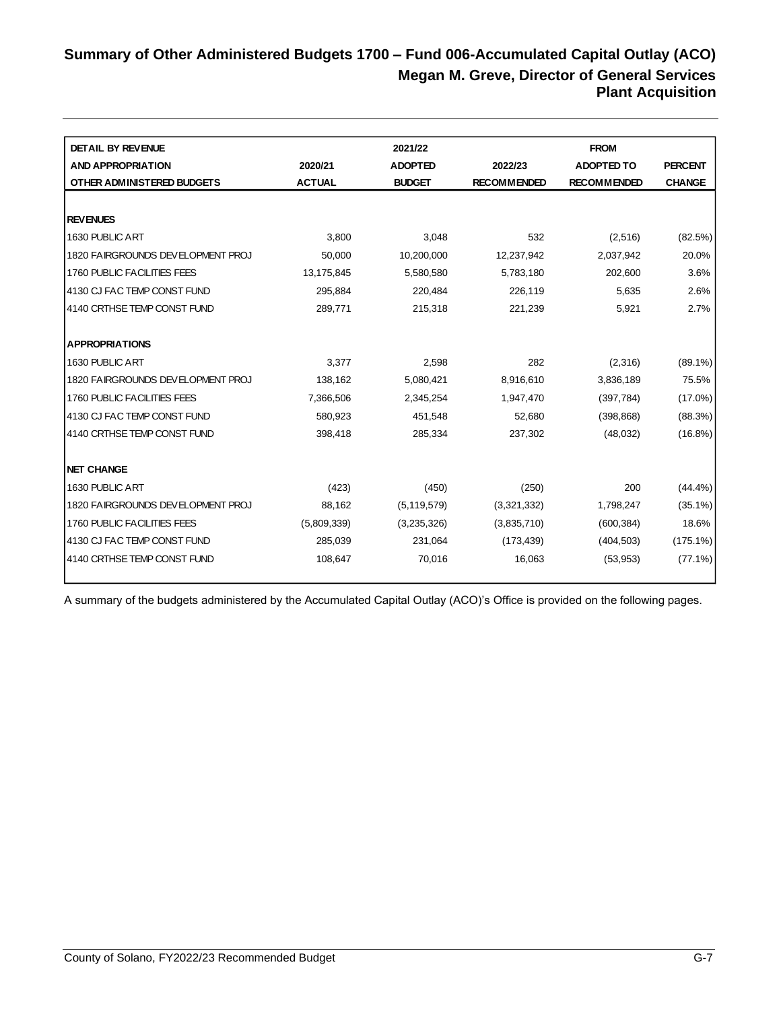## **Summary of Other Administered Budgets 1700 – Fund 006-Accumulated Capital Outlay (ACO) Megan M. Greve, Director of General Services Plant Acquisition**

| <b>DETAIL BY REVENUE</b>          |               | 2021/22        |                    | <b>FROM</b>        |                |
|-----------------------------------|---------------|----------------|--------------------|--------------------|----------------|
| <b>AND APPROPRIATION</b>          | 2020/21       | <b>ADOPTED</b> | 2022/23            | <b>ADOPTED TO</b>  | <b>PERCENT</b> |
| OTHER ADMINISTERED BUDGETS        | <b>ACTUAL</b> | <b>BUDGET</b>  | <b>RECOMMENDED</b> | <b>RECOMMENDED</b> | <b>CHANGE</b>  |
|                                   |               |                |                    |                    |                |
| <b>REVENUES</b>                   |               |                |                    |                    |                |
| 1630 PUBLIC ART                   | 3,800         | 3,048          | 532                | (2,516)            | (82.5%)        |
| 1820 FAIRGROUNDS DEVELOPMENT PROJ | 50,000        | 10,200,000     | 12,237,942         | 2,037,942          | 20.0%          |
| 1760 PUBLIC FACILITIES FEES       | 13,175,845    | 5,580,580      | 5,783,180          | 202,600            | 3.6%           |
| 14130 CJ FAC TEMP CONST FUND      | 295,884       | 220,484        | 226,119            | 5,635              | 2.6%           |
| 4140 CRTHSE TEMP CONST FUND       | 289,771       | 215,318        | 221,239            | 5,921              | 2.7%           |
|                                   |               |                |                    |                    |                |
| <b>APPROPRIATIONS</b>             |               |                |                    |                    |                |
| 1630 PUBLIC ART                   | 3,377         | 2,598          | 282                | (2,316)            | $(89.1\%)$     |
| 1820 FAIRGROUNDS DEVELOPMENT PROJ | 138,162       | 5,080,421      | 8,916,610          | 3,836,189          | 75.5%          |
| 1760 PUBLIC FACILITIES FEES       | 7,366,506     | 2,345,254      | 1,947,470          | (397, 784)         | $(17.0\%)$     |
| 14130 CJ FAC TEMP CONST FUND      | 580,923       | 451,548        | 52,680             | (398, 868)         | (88.3%)        |
| 14140 CRTHSE TEMP CONST FUND      | 398,418       | 285,334        | 237,302            | (48,032)           | $(16.8\%)$     |
|                                   |               |                |                    |                    |                |
| <b>NET CHANGE</b>                 |               |                |                    |                    |                |
| 1630 PUBLIC ART                   | (423)         | (450)          | (250)              | 200                | $(44.4\%)$     |
| 1820 FAIRGROUNDS DEVELOPMENT PROJ | 88,162        | (5, 119, 579)  | (3,321,332)        | 1,798,247          | $(35.1\%)$     |
| 1760 PUBLIC FACILITIES FEES       | (5,809,339)   | (3,235,326)    | (3,835,710)        | (600, 384)         | 18.6%          |
| 14130 CJ FAC TEMP CONST FUND      | 285,039       | 231,064        | (173, 439)         | (404, 503)         | $(175.1\%)$    |
| 4140 CRTHSE TEMP CONST FUND       | 108,647       | 70,016         | 16,063             | (53, 953)          | $(77.1\%)$     |
|                                   |               |                |                    |                    |                |

A summary of the budgets administered by the Accumulated Capital Outlay (ACO)'s Office is provided on the following pages.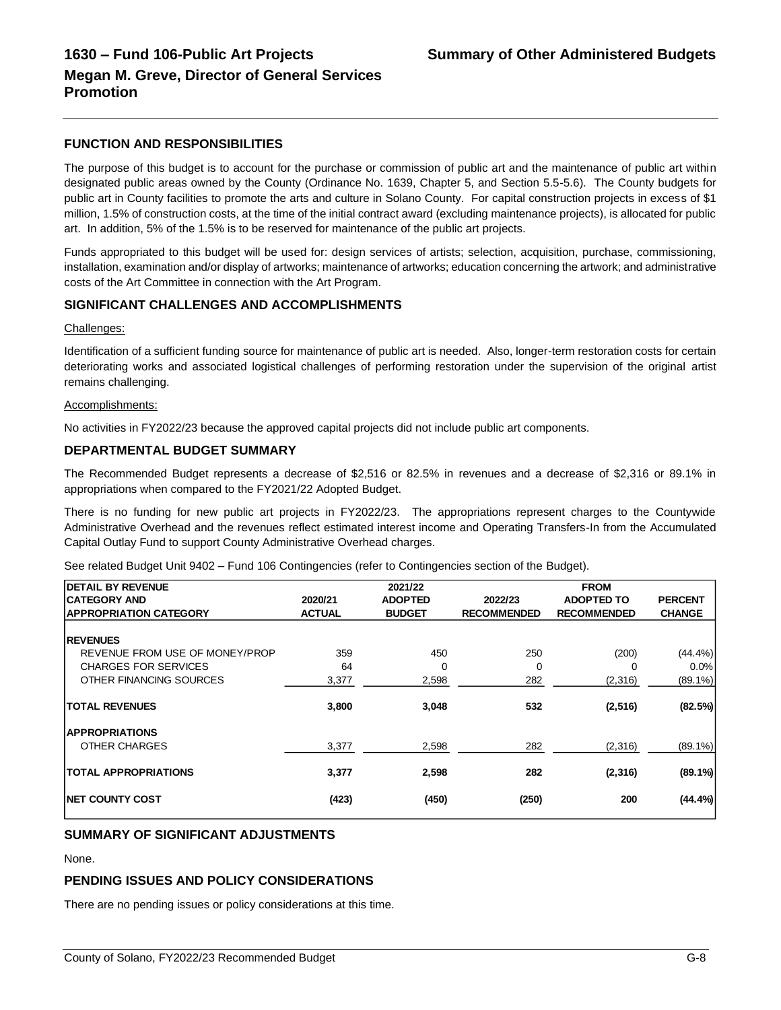#### **FUNCTION AND RESPONSIBILITIES**

The purpose of this budget is to account for the purchase or commission of public art and the maintenance of public art within designated public areas owned by the County (Ordinance No. 1639, Chapter 5, and Section 5.5-5.6). The County budgets for public art in County facilities to promote the arts and culture in Solano County. For capital construction projects in excess of \$1 million, 1.5% of construction costs, at the time of the initial contract award (excluding maintenance projects), is allocated for public art. In addition, 5% of the 1.5% is to be reserved for maintenance of the public art projects.

Funds appropriated to this budget will be used for: design services of artists; selection, acquisition, purchase, commissioning, installation, examination and/or display of artworks; maintenance of artworks; education concerning the artwork; and administrative costs of the Art Committee in connection with the Art Program.

#### **SIGNIFICANT CHALLENGES AND ACCOMPLISHMENTS**

#### Challenges:

Identification of a sufficient funding source for maintenance of public art is needed. Also, longer-term restoration costs for certain deteriorating works and associated logistical challenges of performing restoration under the supervision of the original artist remains challenging.

#### Accomplishments:

No activities in FY2022/23 because the approved capital projects did not include public art components.

#### **DEPARTMENTAL BUDGET SUMMARY**

The Recommended Budget represents a decrease of \$2,516 or 82.5% in revenues and a decrease of \$2,316 or 89.1% in appropriations when compared to the FY2021/22 Adopted Budget.

There is no funding for new public art projects in FY2022/23. The appropriations represent charges to the Countywide Administrative Overhead and the revenues reflect estimated interest income and Operating Transfers-In from the Accumulated Capital Outlay Fund to support County Administrative Overhead charges.

See related Budget Unit 9402 – Fund 106 Contingencies (refer to Contingencies section of the Budget).

| <b>DETAIL BY REVENUE</b>       |               | 2021/22        |                    | <b>FROM</b>        |                |
|--------------------------------|---------------|----------------|--------------------|--------------------|----------------|
| <b>CATEGORY AND</b>            | 2020/21       | <b>ADOPTED</b> | 2022/23            | <b>ADOPTED TO</b>  | <b>PERCENT</b> |
| <b>APPROPRIATION CATEGORY</b>  | <b>ACTUAL</b> | <b>BUDGET</b>  | <b>RECOMMENDED</b> | <b>RECOMMENDED</b> | <b>CHANGE</b>  |
|                                |               |                |                    |                    |                |
| <b>REVENUES</b>                |               |                |                    |                    |                |
| REVENUE FROM USE OF MONEY/PROP | 359           | 450            | 250                | (200)              | $(44.4\%)$     |
| <b>CHARGES FOR SERVICES</b>    | 64            | 0              | 0                  | ∩                  | 0.0%           |
| OTHER FINANCING SOURCES        | 3,377         | 2,598          | 282                | (2,316)            | $(89.1\%)$     |
| <b>TOTAL REVENUES</b>          | 3,800         | 3,048          | 532                | (2, 516)           | (82.5%)        |
| <b>APPROPRIATIONS</b>          |               |                |                    |                    |                |
| OTHER CHARGES                  | 3,377         | 2,598          | 282                | (2,316)            | $(89.1\%)$     |
| <b>TOTAL APPROPRIATIONS</b>    | 3,377         | 2,598          | 282                | (2,316)            | $(89.1\%)$     |
| <b>INET COUNTY COST</b>        | (423)         | (450)          | (250)              | 200                | (44.4%         |

## **SUMMARY OF SIGNIFICANT ADJUSTMENTS**

None.

#### **PENDING ISSUES AND POLICY CONSIDERATIONS**

There are no pending issues or policy considerations at this time.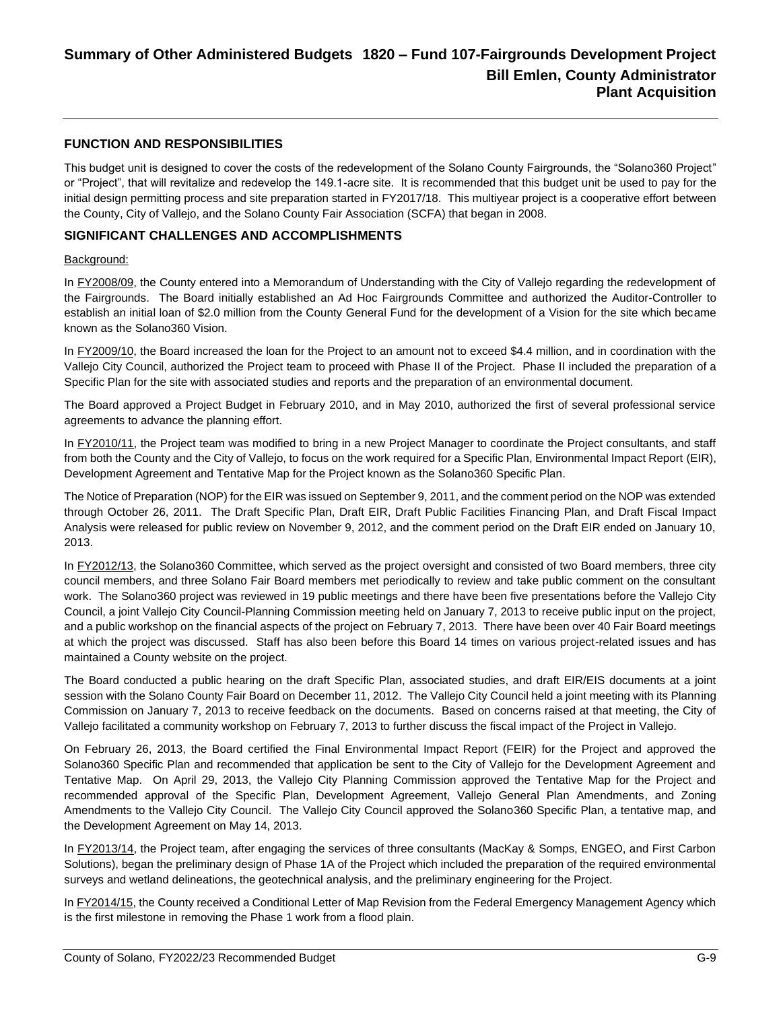#### **FUNCTION AND RESPONSIBILITIES**

This budget unit is designed to cover the costs of the redevelopment of the Solano County Fairgrounds, the "Solano360 Project" or "Project", that will revitalize and redevelop the 149.1-acre site. It is recommended that this budget unit be used to pay for the initial design permitting process and site preparation started in FY2017/18. This multiyear project is a cooperative effort between the County, City of Vallejo, and the Solano County Fair Association (SCFA) that began in 2008.

#### **SIGNIFICANT CHALLENGES AND ACCOMPLISHMENTS**

#### Background:

In FY2008/09, the County entered into a Memorandum of Understanding with the City of Vallejo regarding the redevelopment of the Fairgrounds. The Board initially established an Ad Hoc Fairgrounds Committee and authorized the Auditor-Controller to establish an initial loan of \$2.0 million from the County General Fund for the development of a Vision for the site which became known as the Solano360 Vision.

In FY2009/10, the Board increased the loan for the Project to an amount not to exceed \$4.4 million, and in coordination with the Vallejo City Council, authorized the Project team to proceed with Phase II of the Project. Phase II included the preparation of a Specific Plan for the site with associated studies and reports and the preparation of an environmental document.

The Board approved a Project Budget in February 2010, and in May 2010, authorized the first of several professional service agreements to advance the planning effort.

In FY2010/11, the Project team was modified to bring in a new Project Manager to coordinate the Project consultants, and staff from both the County and the City of Vallejo, to focus on the work required for a Specific Plan, Environmental Impact Report (EIR), Development Agreement and Tentative Map for the Project known as the Solano360 Specific Plan.

The Notice of Preparation (NOP) for the EIR was issued on September 9, 2011, and the comment period on the NOP was extended through October 26, 2011. The Draft Specific Plan, Draft EIR, Draft Public Facilities Financing Plan, and Draft Fiscal Impact Analysis were released for public review on November 9, 2012, and the comment period on the Draft EIR ended on January 10, 2013.

In FY2012/13, the Solano360 Committee, which served as the project oversight and consisted of two Board members, three city council members, and three Solano Fair Board members met periodically to review and take public comment on the consultant work. The Solano360 project was reviewed in 19 public meetings and there have been five presentations before the Vallejo City Council, a joint Vallejo City Council-Planning Commission meeting held on January 7, 2013 to receive public input on the project, and a public workshop on the financial aspects of the project on February 7, 2013. There have been over 40 Fair Board meetings at which the project was discussed. Staff has also been before this Board 14 times on various project-related issues and has maintained a County website on the project.

The Board conducted a public hearing on the draft Specific Plan, associated studies, and draft EIR/EIS documents at a joint session with the Solano County Fair Board on December 11, 2012. The Vallejo City Council held a joint meeting with its Planning Commission on January 7, 2013 to receive feedback on the documents. Based on concerns raised at that meeting, the City of Vallejo facilitated a community workshop on February 7, 2013 to further discuss the fiscal impact of the Project in Vallejo.

On February 26, 2013, the Board certified the Final Environmental Impact Report (FEIR) for the Project and approved the Solano360 Specific Plan and recommended that application be sent to the City of Vallejo for the Development Agreement and Tentative Map. On April 29, 2013, the Vallejo City Planning Commission approved the Tentative Map for the Project and recommended approval of the Specific Plan, Development Agreement, Vallejo General Plan Amendments, and Zoning Amendments to the Vallejo City Council. The Vallejo City Council approved the Solano360 Specific Plan, a tentative map, and the Development Agreement on May 14, 2013.

In FY2013/14, the Project team, after engaging the services of three consultants (MacKay & Somps, ENGEO, and First Carbon Solutions), began the preliminary design of Phase 1A of the Project which included the preparation of the required environmental surveys and wetland delineations, the geotechnical analysis, and the preliminary engineering for the Project.

In FY2014/15, the County received a Conditional Letter of Map Revision from the Federal Emergency Management Agency which is the first milestone in removing the Phase 1 work from a flood plain.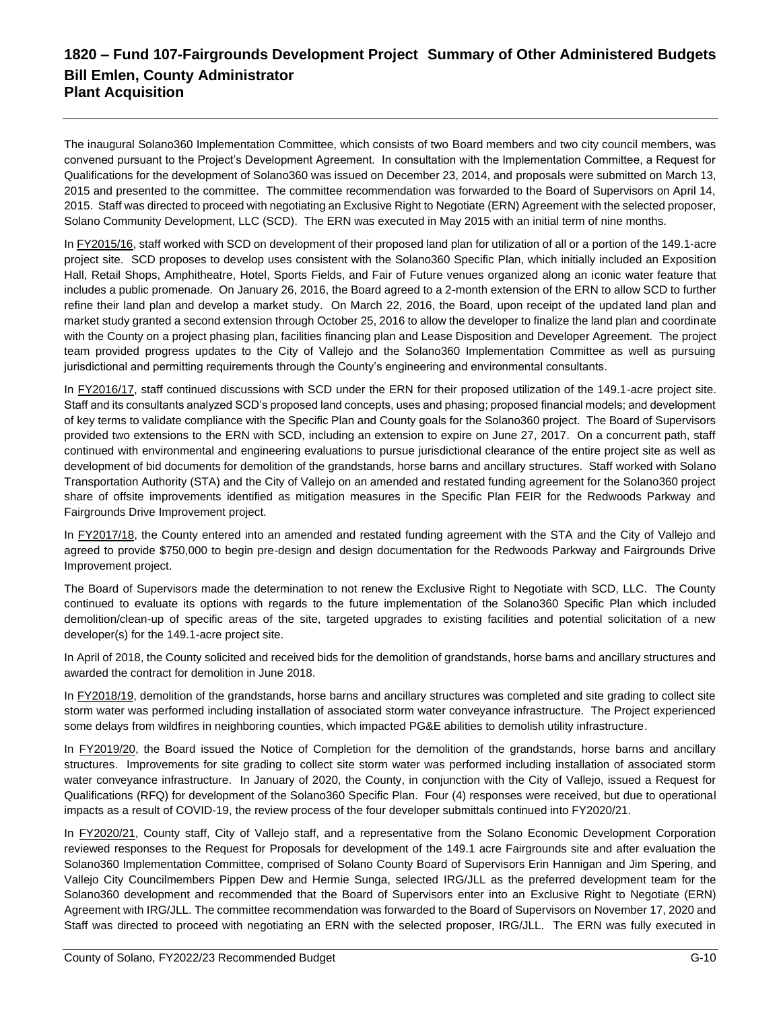## **1820 – Fund 107-Fairgrounds Development Project Summary of Other Administered Budgets Bill Emlen, County Administrator Plant Acquisition**

The inaugural Solano360 Implementation Committee, which consists of two Board members and two city council members, was convened pursuant to the Project's Development Agreement. In consultation with the Implementation Committee, a Request for Qualifications for the development of Solano360 was issued on December 23, 2014, and proposals were submitted on March 13, 2015 and presented to the committee. The committee recommendation was forwarded to the Board of Supervisors on April 14, 2015. Staff was directed to proceed with negotiating an Exclusive Right to Negotiate (ERN) Agreement with the selected proposer, Solano Community Development, LLC (SCD). The ERN was executed in May 2015 with an initial term of nine months.

In FY2015/16, staff worked with SCD on development of their proposed land plan for utilization of all or a portion of the 149.1-acre project site. SCD proposes to develop uses consistent with the Solano360 Specific Plan, which initially included an Exposition Hall, Retail Shops, Amphitheatre, Hotel, Sports Fields, and Fair of Future venues organized along an iconic water feature that includes a public promenade. On January 26, 2016, the Board agreed to a 2-month extension of the ERN to allow SCD to further refine their land plan and develop a market study. On March 22, 2016, the Board, upon receipt of the updated land plan and market study granted a second extension through October 25, 2016 to allow the developer to finalize the land plan and coordinate with the County on a project phasing plan, facilities financing plan and Lease Disposition and Developer Agreement. The project team provided progress updates to the City of Vallejo and the Solano360 Implementation Committee as well as pursuing jurisdictional and permitting requirements through the County's engineering and environmental consultants.

In FY2016/17, staff continued discussions with SCD under the ERN for their proposed utilization of the 149.1-acre project site. Staff and its consultants analyzed SCD's proposed land concepts, uses and phasing; proposed financial models; and development of key terms to validate compliance with the Specific Plan and County goals for the Solano360 project. The Board of Supervisors provided two extensions to the ERN with SCD, including an extension to expire on June 27, 2017. On a concurrent path, staff continued with environmental and engineering evaluations to pursue jurisdictional clearance of the entire project site as well as development of bid documents for demolition of the grandstands, horse barns and ancillary structures. Staff worked with Solano Transportation Authority (STA) and the City of Vallejo on an amended and restated funding agreement for the Solano360 project share of offsite improvements identified as mitigation measures in the Specific Plan FEIR for the Redwoods Parkway and Fairgrounds Drive Improvement project.

In FY2017/18, the County entered into an amended and restated funding agreement with the STA and the City of Vallejo and agreed to provide \$750,000 to begin pre-design and design documentation for the Redwoods Parkway and Fairgrounds Drive Improvement project.

The Board of Supervisors made the determination to not renew the Exclusive Right to Negotiate with SCD, LLC. The County continued to evaluate its options with regards to the future implementation of the Solano360 Specific Plan which included demolition/clean-up of specific areas of the site, targeted upgrades to existing facilities and potential solicitation of a new developer(s) for the 149.1-acre project site.

In April of 2018, the County solicited and received bids for the demolition of grandstands, horse barns and ancillary structures and awarded the contract for demolition in June 2018.

In FY2018/19, demolition of the grandstands, horse barns and ancillary structures was completed and site grading to collect site storm water was performed including installation of associated storm water conveyance infrastructure. The Project experienced some delays from wildfires in neighboring counties, which impacted PG&E abilities to demolish utility infrastructure.

In FY2019/20, the Board issued the Notice of Completion for the demolition of the grandstands, horse barns and ancillary structures. Improvements for site grading to collect site storm water was performed including installation of associated storm water conveyance infrastructure. In January of 2020, the County, in conjunction with the City of Vallejo, issued a Request for Qualifications (RFQ) for development of the Solano360 Specific Plan. Four (4) responses were received, but due to operational impacts as a result of COVID-19, the review process of the four developer submittals continued into FY2020/21.

In FY2020/21, County staff, City of Vallejo staff, and a representative from the Solano Economic Development Corporation reviewed responses to the Request for Proposals for development of the 149.1 acre Fairgrounds site and after evaluation the Solano360 Implementation Committee, comprised of Solano County Board of Supervisors Erin Hannigan and Jim Spering, and Vallejo City Councilmembers Pippen Dew and Hermie Sunga, selected IRG/JLL as the preferred development team for the Solano360 development and recommended that the Board of Supervisors enter into an Exclusive Right to Negotiate (ERN) Agreement with IRG/JLL. The committee recommendation was forwarded to the Board of Supervisors on November 17, 2020 and Staff was directed to proceed with negotiating an ERN with the selected proposer, IRG/JLL. The ERN was fully executed in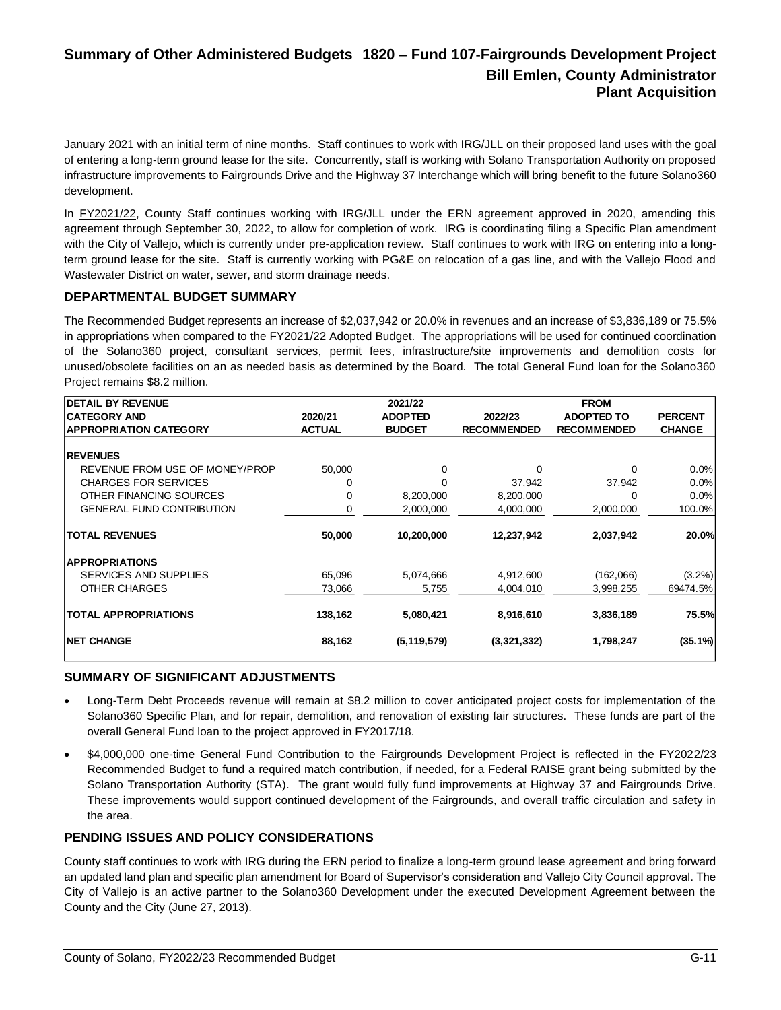January 2021 with an initial term of nine months. Staff continues to work with IRG/JLL on their proposed land uses with the goal of entering a long-term ground lease for the site. Concurrently, staff is working with Solano Transportation Authority on proposed infrastructure improvements to Fairgrounds Drive and the Highway 37 Interchange which will bring benefit to the future Solano360 development.

In FY2021/22, County Staff continues working with IRG/JLL under the ERN agreement approved in 2020, amending this agreement through September 30, 2022, to allow for completion of work. IRG is coordinating filing a Specific Plan amendment with the City of Vallejo, which is currently under pre-application review. Staff continues to work with IRG on entering into a longterm ground lease for the site. Staff is currently working with PG&E on relocation of a gas line, and with the Vallejo Flood and Wastewater District on water, sewer, and storm drainage needs.

#### **DEPARTMENTAL BUDGET SUMMARY**

The Recommended Budget represents an increase of \$2,037,942 or 20.0% in revenues and an increase of \$3,836,189 or 75.5% in appropriations when compared to the FY2021/22 Adopted Budget. The appropriations will be used for continued coordination of the Solano360 project, consultant services, permit fees, infrastructure/site improvements and demolition costs for unused/obsolete facilities on an as needed basis as determined by the Board. The total General Fund loan for the Solano360 Project remains \$8.2 million.

| <b>DETAIL BY REVENUE</b>         |               | 2021/22        |                    | <b>FROM</b>        |                |
|----------------------------------|---------------|----------------|--------------------|--------------------|----------------|
| <b>CATEGORY AND</b>              | 2020/21       | <b>ADOPTED</b> | 2022/23            | <b>ADOPTED TO</b>  | <b>PERCENT</b> |
| <b>APPROPRIATION CATEGORY</b>    | <b>ACTUAL</b> | <b>BUDGET</b>  | <b>RECOMMENDED</b> | <b>RECOMMENDED</b> | <b>CHANGE</b>  |
|                                  |               |                |                    |                    |                |
| <b>REVENUES</b>                  |               |                |                    |                    |                |
| REVENUE FROM USE OF MONEY/PROP   | 50,000        | 0              | 0                  | $\Omega$           | $0.0\%$        |
| <b>CHARGES FOR SERVICES</b>      | 0             | 0              | 37,942             | 37,942             | 0.0%           |
| OTHER FINANCING SOURCES          | $\Omega$      | 8,200,000      | 8,200,000          | $\Omega$           | 0.0%           |
| <b>GENERAL FUND CONTRIBUTION</b> | 0             | 2,000,000      | 4,000,000          | 2,000,000          | 100.0%         |
| <b>TOTAL REVENUES</b>            | 50,000        | 10,200,000     | 12,237,942         | 2,037,942          | 20.0%          |
| <b>APPROPRIATIONS</b>            |               |                |                    |                    |                |
| SERVICES AND SUPPLIES            | 65,096        | 5,074,666      | 4,912,600          | (162,066)          | $(3.2\%)$      |
| OTHER CHARGES                    | 73,066        | 5,755          | 4.004.010          | 3,998,255          | 69474.5%       |
| <b>TOTAL APPROPRIATIONS</b>      | 138,162       | 5,080,421      | 8,916,610          | 3,836,189          | 75.5%          |
| <b>INET CHANGE</b>               | 88,162        | (5, 119, 579)  | (3,321,332)        | 1,798,247          | $(35.1\%)$     |

#### **SUMMARY OF SIGNIFICANT ADJUSTMENTS**

- Long-Term Debt Proceeds revenue will remain at \$8.2 million to cover anticipated project costs for implementation of the Solano360 Specific Plan, and for repair, demolition, and renovation of existing fair structures. These funds are part of the overall General Fund loan to the project approved in FY2017/18.
- \$4,000,000 one-time General Fund Contribution to the Fairgrounds Development Project is reflected in the FY2022/23 Recommended Budget to fund a required match contribution, if needed, for a Federal RAISE grant being submitted by the Solano Transportation Authority (STA). The grant would fully fund improvements at Highway 37 and Fairgrounds Drive. These improvements would support continued development of the Fairgrounds, and overall traffic circulation and safety in the area.

#### **PENDING ISSUES AND POLICY CONSIDERATIONS**

County staff continues to work with IRG during the ERN period to finalize a long-term ground lease agreement and bring forward an updated land plan and specific plan amendment for Board of Supervisor's consideration and Vallejo City Council approval. The City of Vallejo is an active partner to the Solano360 Development under the executed Development Agreement between the County and the City (June 27, 2013).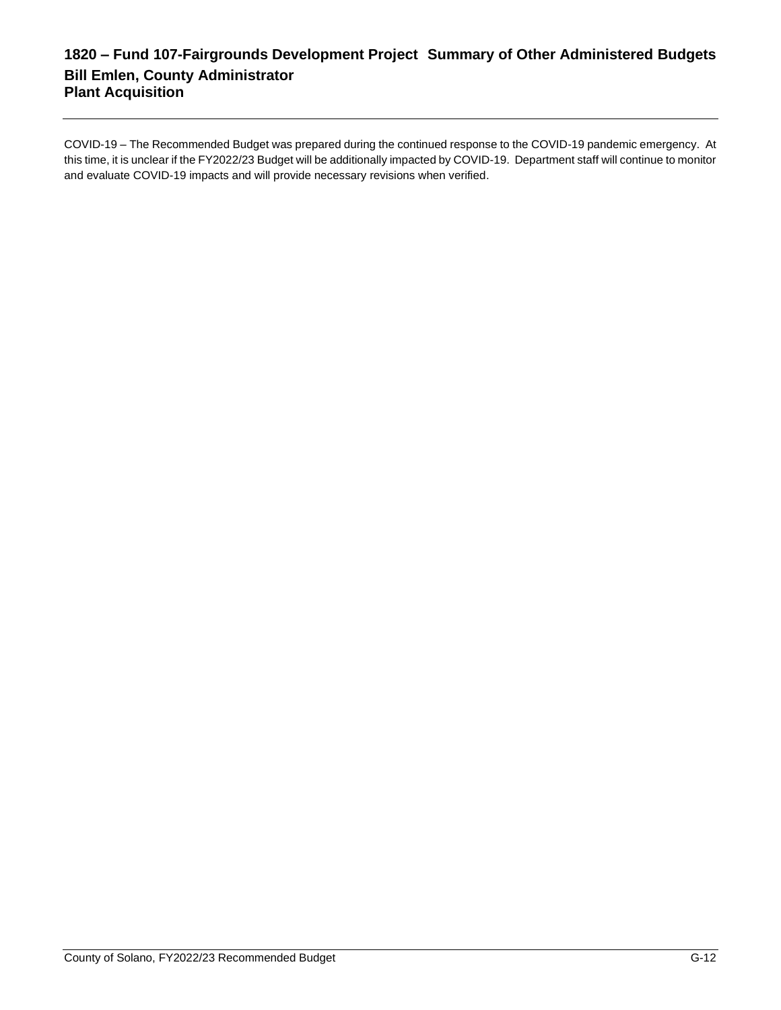## **1820 – Fund 107-Fairgrounds Development Project Summary of Other Administered Budgets Bill Emlen, County Administrator Plant Acquisition**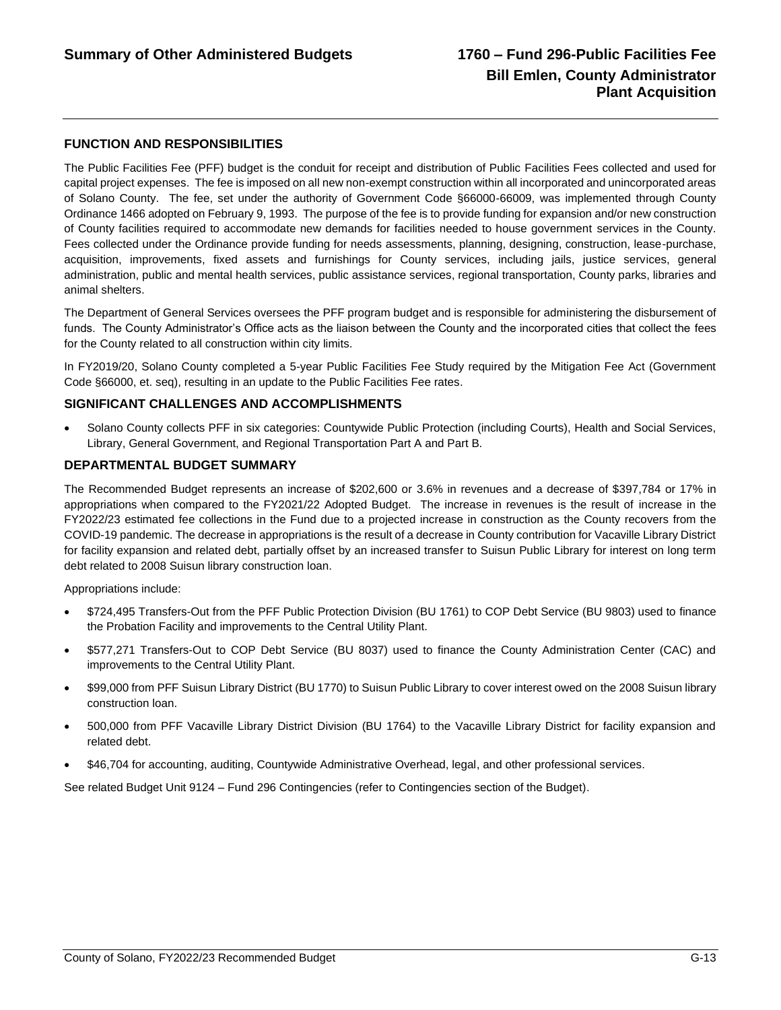#### **FUNCTION AND RESPONSIBILITIES**

The Public Facilities Fee (PFF) budget is the conduit for receipt and distribution of Public Facilities Fees collected and used for capital project expenses. The fee is imposed on all new non-exempt construction within all incorporated and unincorporated areas of Solano County. The fee, set under the authority of Government Code §66000-66009, was implemented through County Ordinance 1466 adopted on February 9, 1993. The purpose of the fee is to provide funding for expansion and/or new construction of County facilities required to accommodate new demands for facilities needed to house government services in the County. Fees collected under the Ordinance provide funding for needs assessments, planning, designing, construction, lease-purchase, acquisition, improvements, fixed assets and furnishings for County services, including jails, justice services, general administration, public and mental health services, public assistance services, regional transportation, County parks, libraries and animal shelters.

The Department of General Services oversees the PFF program budget and is responsible for administering the disbursement of funds. The County Administrator's Office acts as the liaison between the County and the incorporated cities that collect the fees for the County related to all construction within city limits.

In FY2019/20, Solano County completed a 5-year Public Facilities Fee Study required by the Mitigation Fee Act (Government Code §66000, et. seq), resulting in an update to the Public Facilities Fee rates.

#### **SIGNIFICANT CHALLENGES AND ACCOMPLISHMENTS**

• Solano County collects PFF in six categories: Countywide Public Protection (including Courts), Health and Social Services, Library, General Government, and Regional Transportation Part A and Part B.

#### **DEPARTMENTAL BUDGET SUMMARY**

The Recommended Budget represents an increase of \$202,600 or 3.6% in revenues and a decrease of \$397,784 or 17% in appropriations when compared to the FY2021/22 Adopted Budget. The increase in revenues is the result of increase in the FY2022/23 estimated fee collections in the Fund due to a projected increase in construction as the County recovers from the COVID-19 pandemic. The decrease in appropriations is the result of a decrease in County contribution for Vacaville Library District for facility expansion and related debt, partially offset by an increased transfer to Suisun Public Library for interest on long term debt related to 2008 Suisun library construction loan.

Appropriations include:

- \$724,495 Transfers-Out from the PFF Public Protection Division (BU 1761) to COP Debt Service (BU 9803) used to finance the Probation Facility and improvements to the Central Utility Plant.
- \$577,271 Transfers-Out to COP Debt Service (BU 8037) used to finance the County Administration Center (CAC) and improvements to the Central Utility Plant.
- \$99,000 from PFF Suisun Library District (BU 1770) to Suisun Public Library to cover interest owed on the 2008 Suisun library construction loan.
- 500,000 from PFF Vacaville Library District Division (BU 1764) to the Vacaville Library District for facility expansion and related debt.
- \$46,704 for accounting, auditing, Countywide Administrative Overhead, legal, and other professional services.

See related Budget Unit 9124 – Fund 296 Contingencies (refer to Contingencies section of the Budget).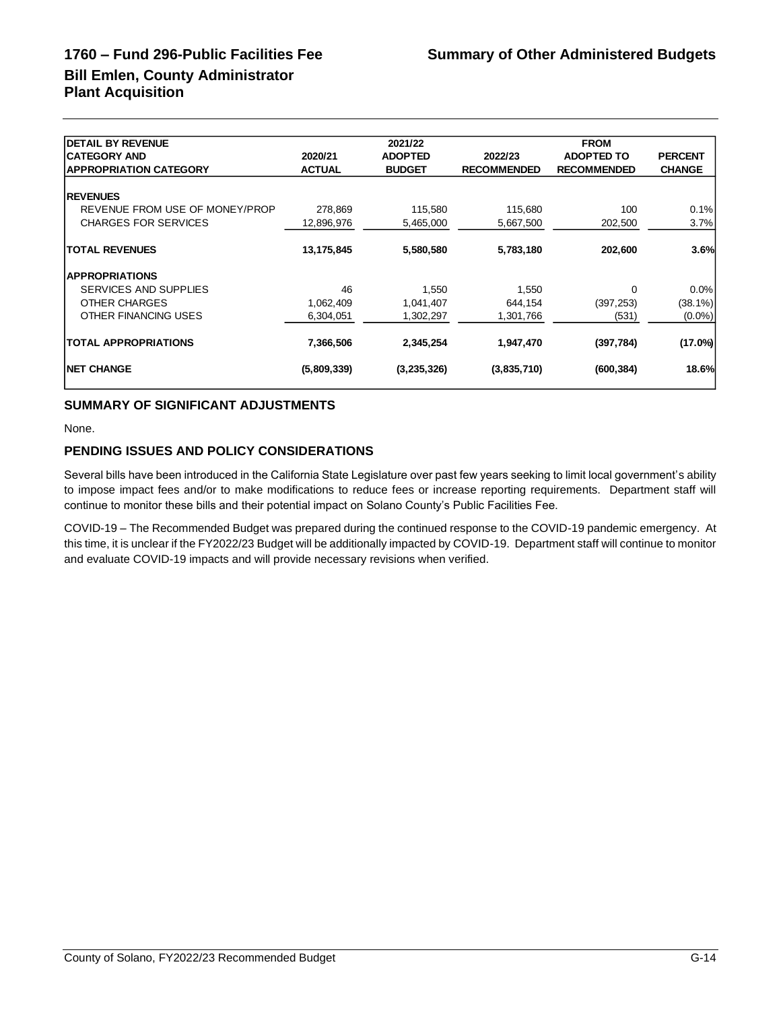# **Bill Emlen, County Administrator Plant Acquisition**

| <b>DETAIL BY REVENUE</b>       |               | 2021/22        |                    | <b>FROM</b>        |                |
|--------------------------------|---------------|----------------|--------------------|--------------------|----------------|
| <b>CATEGORY AND</b>            | 2020/21       | <b>ADOPTED</b> | 2022/23            | <b>ADOPTED TO</b>  | <b>PERCENT</b> |
| <b>APPROPRIATION CATEGORY</b>  | <b>ACTUAL</b> | <b>BUDGET</b>  | <b>RECOMMENDED</b> | <b>RECOMMENDED</b> | <b>CHANGE</b>  |
| <b>REVENUES</b>                |               |                |                    |                    |                |
| REVENUE FROM USE OF MONEY/PROP | 278.869       | 115,580        | 115.680            | 100                | 0.1%           |
| <b>CHARGES FOR SERVICES</b>    | 12,896,976    | 5,465,000      | 5,667,500          | 202,500            | 3.7%           |
| <b>TOTAL REVENUES</b>          | 13,175,845    | 5,580,580      | 5,783,180          | 202,600            | 3.6%           |
| <b>APPROPRIATIONS</b>          |               |                |                    |                    |                |
| SERVICES AND SUPPLIES          | 46            | 1,550          | 1,550              | $\Omega$           | $0.0\%$        |
| OTHER CHARGES                  | 1,062,409     | 1,041,407      | 644,154            | (397, 253)         | $(38.1\%)$     |
| OTHER FINANCING USES           | 6,304,051     | 1,302,297      | 1,301,766          | (531)              | $(0.0\%)$      |
| <b>TOTAL APPROPRIATIONS</b>    | 7,366,506     | 2,345,254      | 1,947,470          | (397, 784)         | $(17.0\%)$     |
| <b>INET CHANGE</b>             | (5,809,339)   | (3, 235, 326)  | (3,835,710)        | (600, 384)         | 18.6%          |

### **SUMMARY OF SIGNIFICANT ADJUSTMENTS**

None.

#### **PENDING ISSUES AND POLICY CONSIDERATIONS**

Several bills have been introduced in the California State Legislature over past few years seeking to limit local government's ability to impose impact fees and/or to make modifications to reduce fees or increase reporting requirements. Department staff will continue to monitor these bills and their potential impact on Solano County's Public Facilities Fee.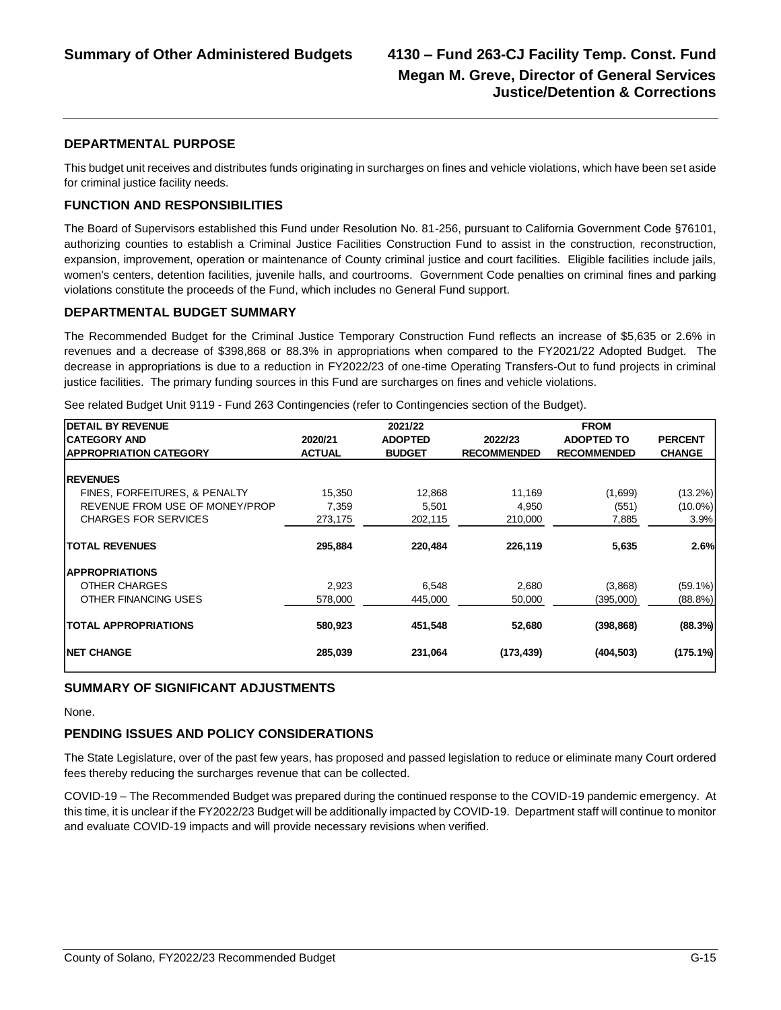#### **DEPARTMENTAL PURPOSE**

This budget unit receives and distributes funds originating in surcharges on fines and vehicle violations, which have been set aside for criminal justice facility needs.

#### **FUNCTION AND RESPONSIBILITIES**

The Board of Supervisors established this Fund under Resolution No. 81-256, pursuant to California Government Code §76101, authorizing counties to establish a Criminal Justice Facilities Construction Fund to assist in the construction, reconstruction, expansion, improvement, operation or maintenance of County criminal justice and court facilities. Eligible facilities include jails, women's centers, detention facilities, juvenile halls, and courtrooms. Government Code penalties on criminal fines and parking violations constitute the proceeds of the Fund, which includes no General Fund support.

#### **DEPARTMENTAL BUDGET SUMMARY**

The Recommended Budget for the Criminal Justice Temporary Construction Fund reflects an increase of \$5,635 or 2.6% in revenues and a decrease of \$398,868 or 88.3% in appropriations when compared to the FY2021/22 Adopted Budget. The decrease in appropriations is due to a reduction in FY2022/23 of one-time Operating Transfers-Out to fund projects in criminal justice facilities. The primary funding sources in this Fund are surcharges on fines and vehicle violations.

See related Budget Unit 9119 - Fund 263 Contingencies (refer to Contingencies section of the Budget).

| <b>DETAIL BY REVENUE</b>       |               | 2021/22        |                    | <b>FROM</b>        |                |
|--------------------------------|---------------|----------------|--------------------|--------------------|----------------|
| <b>CATEGORY AND</b>            | 2020/21       | <b>ADOPTED</b> | 2022/23            | <b>ADOPTED TO</b>  | <b>PERCENT</b> |
| <b>APPROPRIATION CATEGORY</b>  | <b>ACTUAL</b> | <b>BUDGET</b>  | <b>RECOMMENDED</b> | <b>RECOMMENDED</b> | <b>CHANGE</b>  |
|                                |               |                |                    |                    |                |
| <b>REVENUES</b>                |               |                |                    |                    |                |
| FINES, FORFEITURES, & PENALTY  | 15,350        | 12,868         | 11,169             | (1,699)            | $(13.2\%)$     |
| REVENUE FROM USE OF MONEY/PROP | 7,359         | 5,501          | 4,950              | (551)              | $(10.0\%)$     |
| <b>CHARGES FOR SERVICES</b>    | 273,175       | 202,115        | 210,000            | 7,885              | 3.9%           |
| <b>TOTAL REVENUES</b>          | 295,884       | 220,484        | 226,119            | 5,635              | 2.6%           |
| <b>APPROPRIATIONS</b>          |               |                |                    |                    |                |
| OTHER CHARGES                  | 2,923         | 6,548          | 2,680              | (3,868)            | $(59.1\%)$     |
| OTHER FINANCING USES           | 578,000       | 445,000        | 50,000             | (395,000)          | $(88.8\%)$     |
| <b>TOTAL APPROPRIATIONS</b>    | 580,923       | 451,548        | 52,680             | (398, 868)         | (88.3%)        |
| <b>INET CHANGE</b>             | 285,039       | 231,064        | (173, 439)         | (404, 503)         | $(175.1\%)$    |

#### **SUMMARY OF SIGNIFICANT ADJUSTMENTS**

None.

#### **PENDING ISSUES AND POLICY CONSIDERATIONS**

The State Legislature, over of the past few years, has proposed and passed legislation to reduce or eliminate many Court ordered fees thereby reducing the surcharges revenue that can be collected.